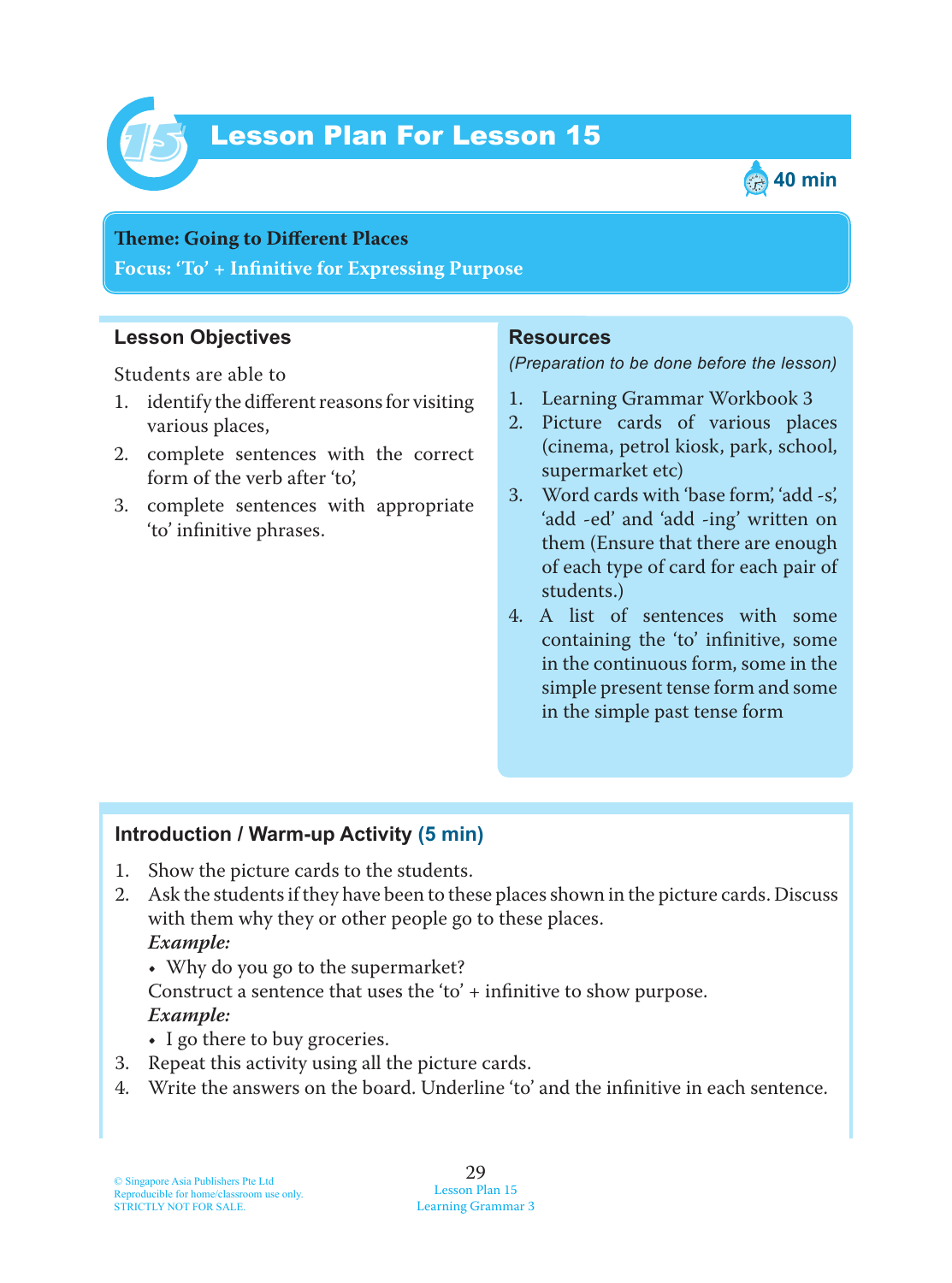

# Lesson Plan For Lesson 15 *15*



#### **Teme : Going to Different Places**

**Focus: 'To' + Infinitive for Expressing Purpose**

### **Lesson Objectives**

Students are able to

- 1. identify the different reasons for visiting various places,
- 2. complete sentences with the correct form of the verb after 'to',
- 3. complete sentences with appropriate 'to' infinitive phrases.

### **Resources**

#### *(Preparation to be done before the lesson)*

- 1. Learning Grammar Workbook 3
- 2. Picture cards of various places (cinema, petrol kiosk, park, school, supermarket etc)
- 3. Word cards with 'base form', 'add -s', 'add -ed' and 'add -ing' written on them (Ensure that there are enough of each type of card for each pair of students.)
- 4. A list of sentences with some containing the 'to' infinitive, some in the continuous form, some in the simple present tense form and some in the simple past tense form

### **Introduction / Warm-up Activity (5 min)**

- 1. Show the picture cards to the students.
- 2. Ask the students if they have been to these places shown in the picture cards. Discuss with them why they or other people go to these places.  *Example:*
	- Why do you go to the supermarket?

Construct a sentence that uses the 'to' + infinitive to show purpose.  *Example:*

- I go there to buy groceries.
- 3. Repeat this activity using all the picture cards.
- 4. Write the answers on the board. Underline 'to' and the infinitive in each sentence.